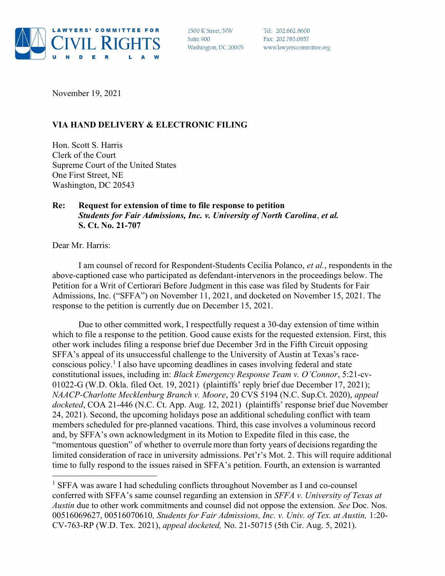

1500 K Street, NW Suite 900 Washington, DC 20005

Tel: 202.662.8600 Fax: 202.783.0857 www.lawyerscommittee.org

November 19, 2021

## VIA HAND DELIVERY & ELECTRONIC FILING

Hon. Scott S. Harris Clerk of the Court Supreme Court of the United States One First Street, NE Washington, DC 20543

## Re: Request for extension of time to file response to petition Students for Fair Admissions, Inc. v. University of North Carolina, et al. S. Ct. No. 21-707

Dear Mr. Harris:

I am counsel of record for Respondent-Students Cecilia Polanco, et al., respondents in the above-captioned case who participated as defendant-intervenors in the proceedings below. The Petition for a Writ of Certiorari Before Judgment in this case was filed by Students for Fair Admissions, Inc. ("SFFA") on November 11, 2021, and docketed on November 15, 2021. The response to the petition is currently due on December 15, 2021.

Due to other committed work, I respectfully request a 30-day extension of time within which to file a response to the petition. Good cause exists for the requested extension. First, this other work includes filing a response brief due December 3rd in the Fifth Circuit opposing SFFA's appeal of its unsuccessful challenge to the University of Austin at Texas's raceconscious policy.<sup>1</sup> I also have upcoming deadlines in cases involving federal and state constitutional issues, including in: Black Emergency Response Team v. O'Connor, 5:21-cv-01022-G (W.D. Okla. filed Oct. 19, 2021) (plaintiffs' reply brief due December 17, 2021); NAACP-Charlotte Mecklenburg Branch v. Moore, 20 CVS 5194 (N.C. Sup.Ct. 2020), appeal docketed, COA 21-446 (N.C. Ct. App. Aug. 12, 2021) (plaintiffs' response brief due November 24, 2021). Second, the upcoming holidays pose an additional scheduling conflict with team members scheduled for pre-planned vacations. Third, this case involves a voluminous record and, by SFFA's own acknowledgment in its Motion to Expedite filed in this case, the "momentous question" of whether to overrule more than forty years of decisions regarding the limited consideration of race in university admissions. Pet'r's Mot. 2. This will require additional time to fully respond to the issues raised in SFFA's petition. Fourth, an extension is warranted

<sup>&</sup>lt;sup>1</sup> SFFA was aware I had scheduling conflicts throughout November as I and co-counsel conferred with SFFA's same counsel regarding an extension in SFFA v. University of Texas at Austin due to other work commitments and counsel did not oppose the extension. See Doc. Nos. 00516069627, 00516070610, Students for Fair Admissions, Inc. v. Univ. of Tex. at Austin, 1:20- CV-763-RP (W.D. Tex. 2021), appeal docketed, No. 21-50715 (5th Cir. Aug. 5, 2021).